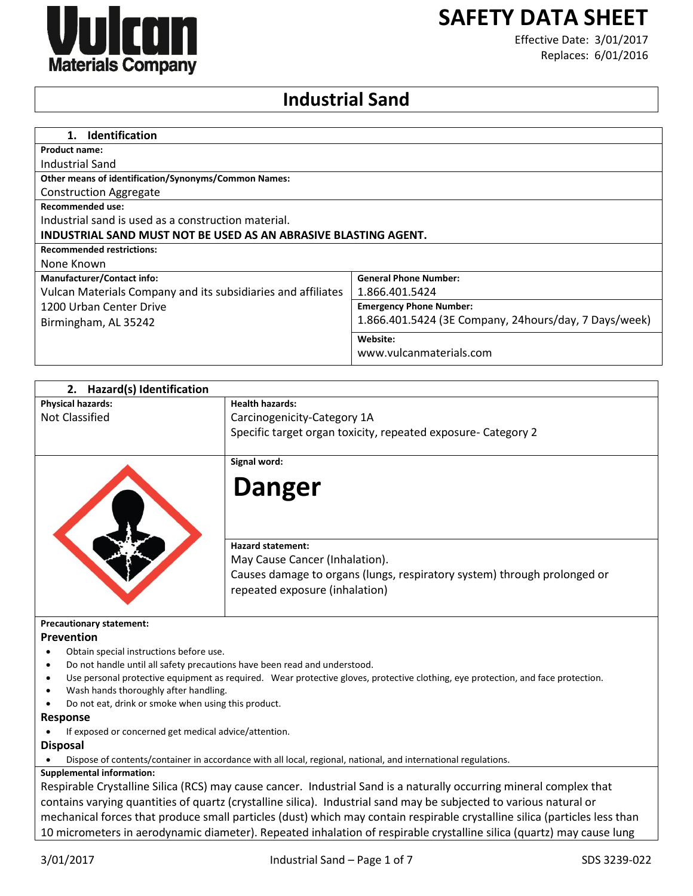

# **SAFETY DATA SHEET**

Effective Date: 3/01/2017 Replaces: 6/01/2016

## **Industrial Sand**

| <b>Identification</b><br>1.                                     |                                                       |
|-----------------------------------------------------------------|-------------------------------------------------------|
| <b>Product name:</b>                                            |                                                       |
| Industrial Sand                                                 |                                                       |
| <b>Other means of identification/Synonyms/Common Names:</b>     |                                                       |
| <b>Construction Aggregate</b>                                   |                                                       |
| <b>Recommended use:</b>                                         |                                                       |
| Industrial sand is used as a construction material.             |                                                       |
| INDUSTRIAL SAND MUST NOT BE USED AS AN ABRASIVE BLASTING AGENT. |                                                       |
| <b>Recommended restrictions:</b>                                |                                                       |
| None Known                                                      |                                                       |
| <b>Manufacturer/Contact info:</b>                               | <b>General Phone Number:</b>                          |
| Vulcan Materials Company and its subsidiaries and affiliates    | 1.866.401.5424                                        |
| 1200 Urban Center Drive                                         | <b>Emergency Phone Number:</b>                        |
| Birmingham, AL 35242                                            | 1.866.401.5424 (3E Company, 24hours/day, 7 Days/week) |
|                                                                 | Website:                                              |
|                                                                 | www.vulcanmaterials.com                               |
|                                                                 |                                                       |

| <b>Hazard(s) Identification</b><br>2.                                     |                                                                                                                                  |
|---------------------------------------------------------------------------|----------------------------------------------------------------------------------------------------------------------------------|
| <b>Physical hazards:</b>                                                  | <b>Health hazards:</b>                                                                                                           |
| <b>Not Classified</b>                                                     | Carcinogenicity-Category 1A                                                                                                      |
|                                                                           | Specific target organ toxicity, repeated exposure- Category 2                                                                    |
|                                                                           | Signal word:                                                                                                                     |
|                                                                           | <b>Danger</b>                                                                                                                    |
|                                                                           | <b>Hazard statement:</b>                                                                                                         |
|                                                                           | May Cause Cancer (Inhalation).                                                                                                   |
|                                                                           | Causes damage to organs (lungs, respiratory system) through prolonged or<br>repeated exposure (inhalation)                       |
| <b>Precautionary statement:</b>                                           |                                                                                                                                  |
| Prevention                                                                |                                                                                                                                  |
| Obtain special instructions before use.                                   |                                                                                                                                  |
| Do not handle until all safety precautions have been read and understood. |                                                                                                                                  |
| ٠                                                                         | Use personal protective equipment as required. Wear protective gloves, protective clothing, eye protection, and face protection. |
| Wash hands thoroughly after handling.                                     |                                                                                                                                  |
| Do not eat, drink or smoke when using this product.                       |                                                                                                                                  |
| Response                                                                  |                                                                                                                                  |
| If exposed or concerned get medical advice/attention.                     |                                                                                                                                  |
| <b>Disposal</b>                                                           |                                                                                                                                  |
|                                                                           | Dispose of contents/container in accordance with all local, regional, national, and international regulations.                   |
| <b>Supplemental information:</b>                                          |                                                                                                                                  |

Respirable Crystalline Silica (RCS) may cause cancer. Industrial Sand is a naturally occurring mineral complex that contains varying quantities of quartz (crystalline silica). Industrial sand may be subjected to various natural or mechanical forces that produce small particles (dust) which may contain respirable crystalline silica (particles less than 10 micrometers in aerodynamic diameter). Repeated inhalation of respirable crystalline silica (quartz) may cause lung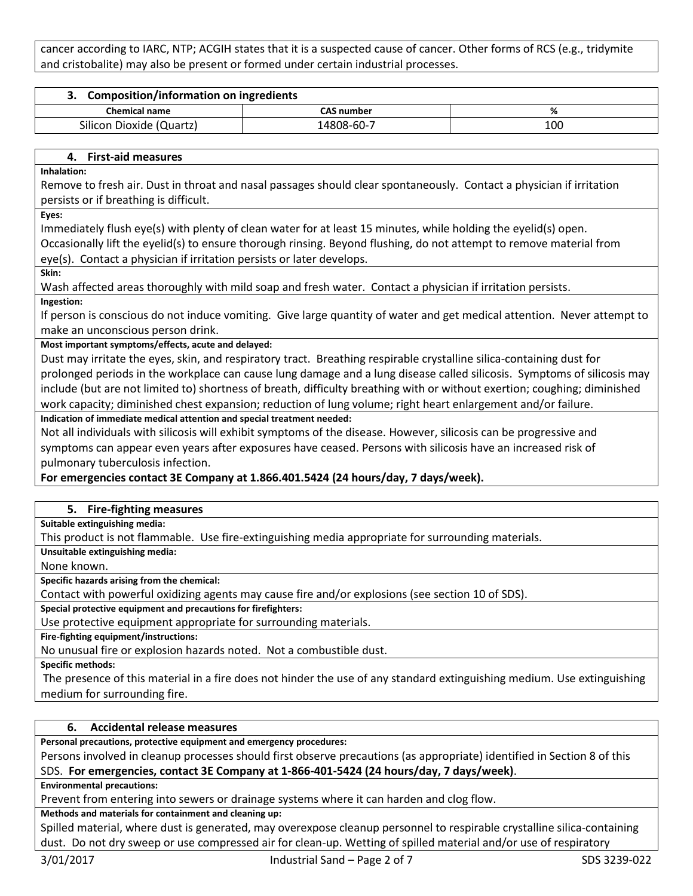cancer according to IARC, NTP; ACGIH states that it is a suspected cause of cancer. Other forms of RCS (e.g., tridymite and cristobalite) may also be present or formed under certain industrial processes.

| <b>Composition/information on ingredients</b> |                   |     |
|-----------------------------------------------|-------------------|-----|
| <b>Chemical name</b>                          | <b>CAS number</b> | %   |
| Silicon Dioxide (Quartz)                      | 14808-60-7        | 100 |

#### **4. First-aid measures**

**Inhalation:**

Remove to fresh air. Dust in throat and nasal passages should clear spontaneously. Contact a physician if irritation persists or if breathing is difficult.

**Eyes:**

Immediately flush eye(s) with plenty of clean water for at least 15 minutes, while holding the eyelid(s) open.

Occasionally lift the eyelid(s) to ensure thorough rinsing. Beyond flushing, do not attempt to remove material from eye(s). Contact a physician if irritation persists or later develops.

**Skin:**

Wash affected areas thoroughly with mild soap and fresh water. Contact a physician if irritation persists. **Ingestion:**

If person is conscious do not induce vomiting. Give large quantity of water and get medical attention. Never attempt to make an unconscious person drink.

#### **Most important symptoms/effects, acute and delayed:**

Dust may irritate the eyes, skin, and respiratory tract. Breathing respirable crystalline silica-containing dust for prolonged periods in the workplace can cause lung damage and a lung disease called silicosis. Symptoms of silicosis may include (but are not limited to) shortness of breath, difficulty breathing with or without exertion; coughing; diminished work capacity; diminished chest expansion; reduction of lung volume; right heart enlargement and/or failure.

#### **Indication of immediate medical attention and special treatment needed:**

Not all individuals with silicosis will exhibit symptoms of the disease. However, silicosis can be progressive and symptoms can appear even years after exposures have ceased. Persons with silicosis have an increased risk of pulmonary tuberculosis infection.

### **For emergencies contact 3E Company at 1.866.401.5424 (24 hours/day, 7 days/week).**

#### **5. Fire-fighting measures**

**Suitable extinguishing media:**

This product is not flammable. Use fire-extinguishing media appropriate for surrounding materials.

**Unsuitable extinguishing media:**

None known.

**Specific hazards arising from the chemical:**

Contact with powerful oxidizing agents may cause fire and/or explosions (see section 10 of SDS).

**Special protective equipment and precautions for firefighters:**

Use protective equipment appropriate for surrounding materials.

**Fire-fighting equipment/instructions:**

No unusual fire or explosion hazards noted. Not a combustible dust.

**Specific methods:**

The presence of this material in a fire does not hinder the use of any standard extinguishing medium. Use extinguishing medium for surrounding fire.

## **6. Accidental release measures**

**Personal precautions, protective equipment and emergency procedures:**

Persons involved in cleanup processes should first observe precautions (as appropriate) identified in Section 8 of this SDS. **For emergencies, contact 3E Company at 1-866-401-5424 (24 hours/day, 7 days/week)**.

**Environmental precautions:**

Prevent from entering into sewers or drainage systems where it can harden and clog flow.

**Methods and materials for containment and cleaning up:**

Spilled material, where dust is generated, may overexpose cleanup personnel to respirable crystalline silica-containing dust. Do not dry sweep or use compressed air for clean-up. Wetting of spilled material and/or use of respiratory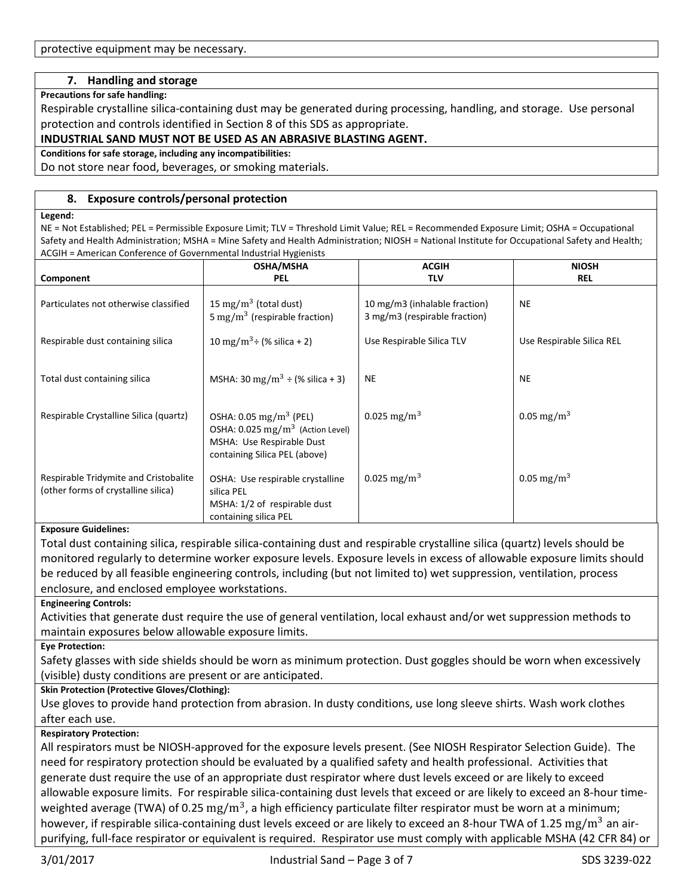## **7. Handling and storage**

#### **Precautions for safe handling:**

Respirable crystalline silica-containing dust may be generated during processing, handling, and storage. Use personal protection and controls identified in Section 8 of this SDS as appropriate.

#### **INDUSTRIAL SAND MUST NOT BE USED AS AN ABRASIVE BLASTING AGENT.**

**Conditions for safe storage, including any incompatibilities:**

Do not store near food, beverages, or smoking materials.

#### **8. Exposure controls/personal protection**

#### **Legend:**

NE = Not Established; PEL = Permissible Exposure Limit; TLV = Threshold Limit Value; REL = Recommended Exposure Limit; OSHA = Occupational Safety and Health Administration; MSHA = Mine Safety and Health Administration; NIOSH = National Institute for Occupational Safety and Health; ACGIH = American Conference of Governmental Industrial Hygienists

|                                        | <b>OSHA/MSHA</b>                                                                                             | <b>ACGIH</b>                                                   | <b>NIOSH</b>              |
|----------------------------------------|--------------------------------------------------------------------------------------------------------------|----------------------------------------------------------------|---------------------------|
| Component                              | <b>PEL</b>                                                                                                   | <b>TLV</b>                                                     | <b>REL</b>                |
| Particulates not otherwise classified  | 15 mg/m <sup>3</sup> (total dust)<br>5 mg/m <sup>3</sup> (respirable fraction)                               | 10 mg/m3 (inhalable fraction)<br>3 mg/m3 (respirable fraction) | <b>NE</b>                 |
| Respirable dust containing silica      | 10 mg/m <sup>3</sup> ÷ (% silica + 2)                                                                        | Use Respirable Silica TLV                                      | Use Respirable Silica REL |
|                                        |                                                                                                              |                                                                |                           |
| Total dust containing silica           | MSHA: 30 mg/m <sup>3</sup> ÷ (% silica + 3)                                                                  | <b>NE</b>                                                      | <b>NE</b>                 |
| Respirable Crystalline Silica (quartz) | OSHA: $0.05 \,\mathrm{mg/m^3}$ (PEL)                                                                         | 0.025 mg/m <sup>3</sup>                                        | 0.05 mg/m <sup>3</sup>    |
|                                        | OSHA: $0.025$ mg/m <sup>3</sup> (Action Level)<br>MSHA: Use Respirable Dust<br>containing Silica PEL (above) |                                                                |                           |
|                                        |                                                                                                              |                                                                |                           |
| Respirable Tridymite and Cristobalite  | OSHA: Use respirable crystalline                                                                             | 0.025 mg/m <sup>3</sup>                                        | 0.05 mg/m <sup>3</sup>    |
| (other forms of crystalline silica)    | silica PEL                                                                                                   |                                                                |                           |
|                                        | MSHA: 1/2 of respirable dust                                                                                 |                                                                |                           |
|                                        | containing silica PEL                                                                                        |                                                                |                           |

#### **Exposure Guidelines:**

Total dust containing silica, respirable silica-containing dust and respirable crystalline silica (quartz) levels should be monitored regularly to determine worker exposure levels. Exposure levels in excess of allowable exposure limits should be reduced by all feasible engineering controls, including (but not limited to) wet suppression, ventilation, process enclosure, and enclosed employee workstations.

#### **Engineering Controls:**

Activities that generate dust require the use of general ventilation, local exhaust and/or wet suppression methods to maintain exposures below allowable exposure limits.

#### **Eye Protection:**

Safety glasses with side shields should be worn as minimum protection. Dust goggles should be worn when excessively (visible) dusty conditions are present or are anticipated.

#### **Skin Protection (Protective Gloves/Clothing):**

Use gloves to provide hand protection from abrasion. In dusty conditions, use long sleeve shirts. Wash work clothes after each use.

#### **Respiratory Protection:**

All respirators must be NIOSH-approved for the exposure levels present. (See NIOSH Respirator Selection Guide). The need for respiratory protection should be evaluated by a qualified safety and health professional. Activities that generate dust require the use of an appropriate dust respirator where dust levels exceed or are likely to exceed allowable exposure limits. For respirable silica-containing dust levels that exceed or are likely to exceed an 8-hour timeweighted average (TWA) of 0.25  $\rm mg/m^3$ , a high efficiency particulate filter respirator must be worn at a minimum; however, if respirable silica-containing dust levels exceed or are likely to exceed an 8-hour TWA of 1.25  $\rm mg/m^3$  an airpurifying, full-face respirator or equivalent is required. Respirator use must comply with applicable MSHA (42 CFR 84) or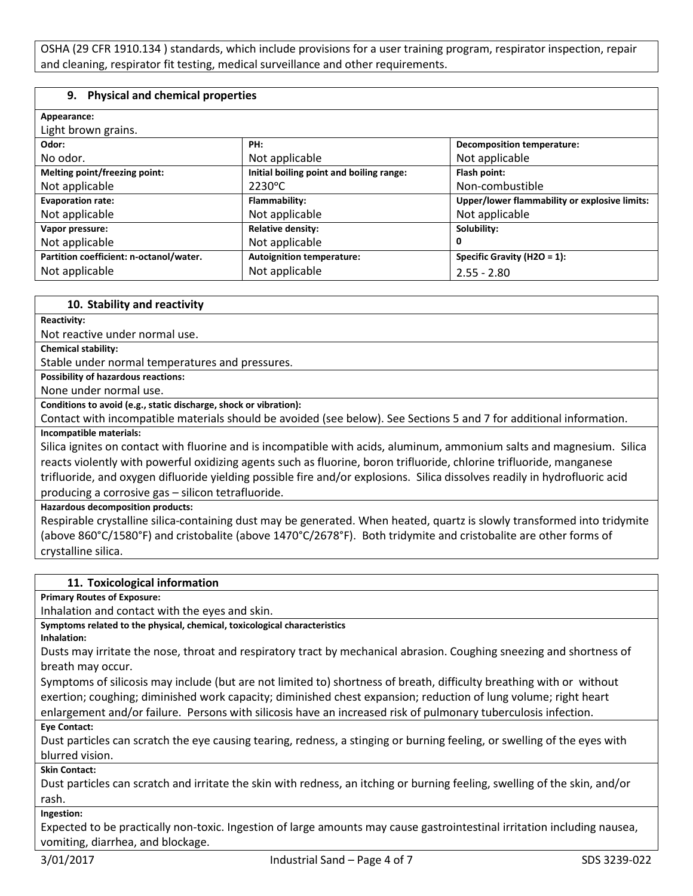OSHA (29 CFR 1910.134 ) standards, which include provisions for a user training program, respirator inspection, repair and cleaning, respirator fit testing, medical surveillance and other requirements.

#### **9. Physical and chemical properties**

| Appearance:                             |                                          |                                               |
|-----------------------------------------|------------------------------------------|-----------------------------------------------|
| Light brown grains.                     |                                          |                                               |
| Odor:                                   | PH:                                      | <b>Decomposition temperature:</b>             |
| No odor.                                | Not applicable                           | Not applicable                                |
| Melting point/freezing point:           | Initial boiling point and boiling range: | Flash point:                                  |
| Not applicable                          | 2230°C                                   | Non-combustible                               |
| <b>Evaporation rate:</b>                | Flammability:                            | Upper/lower flammability or explosive limits: |
| Not applicable                          | Not applicable                           | Not applicable                                |
| Vapor pressure:                         | <b>Relative density:</b>                 | Solubility:                                   |
| Not applicable                          | Not applicable                           | 0                                             |
| Partition coefficient: n-octanol/water. | <b>Autoignition temperature:</b>         | Specific Gravity (H2O = 1):                   |
| Not applicable                          | Not applicable                           | $2.55 - 2.80$                                 |

#### **10. Stability and reactivity**

**Reactivity:**

Not reactive under normal use.

**Chemical stability:**

Stable under normal temperatures and pressures.

**Possibility of hazardous reactions:**

None under normal use.

**Conditions to avoid (e.g., static discharge, shock or vibration):**

Contact with incompatible materials should be avoided (see below). See Sections 5 and 7 for additional information. **Incompatible materials:**

Silica ignites on contact with fluorine and is incompatible with acids, aluminum, ammonium salts and magnesium. Silica reacts violently with powerful oxidizing agents such as fluorine, boron trifluoride, chlorine trifluoride, manganese trifluoride, and oxygen difluoride yielding possible fire and/or explosions. Silica dissolves readily in hydrofluoric acid producing a corrosive gas – silicon tetrafluoride.

**Hazardous decomposition products:**

Respirable crystalline silica-containing dust may be generated. When heated, quartz is slowly transformed into tridymite (above 860°C/1580°F) and cristobalite (above 1470°C/2678°F). Both tridymite and cristobalite are other forms of crystalline silica.

#### **11. Toxicological information**

**Primary Routes of Exposure:**

Inhalation and contact with the eyes and skin.

**Symptoms related to the physical, chemical, toxicological characteristics**

**Inhalation:**

Dusts may irritate the nose, throat and respiratory tract by mechanical abrasion. Coughing sneezing and shortness of breath may occur.

Symptoms of silicosis may include (but are not limited to) shortness of breath, difficulty breathing with or without exertion; coughing; diminished work capacity; diminished chest expansion; reduction of lung volume; right heart enlargement and/or failure. Persons with silicosis have an increased risk of pulmonary tuberculosis infection.

## **Eye Contact:**

Dust particles can scratch the eye causing tearing, redness, a stinging or burning feeling, or swelling of the eyes with blurred vision.

**Skin Contact:**

Dust particles can scratch and irritate the skin with redness, an itching or burning feeling, swelling of the skin, and/or rash.

**Ingestion:**

Expected to be practically non-toxic. Ingestion of large amounts may cause gastrointestinal irritation including nausea, vomiting, diarrhea, and blockage.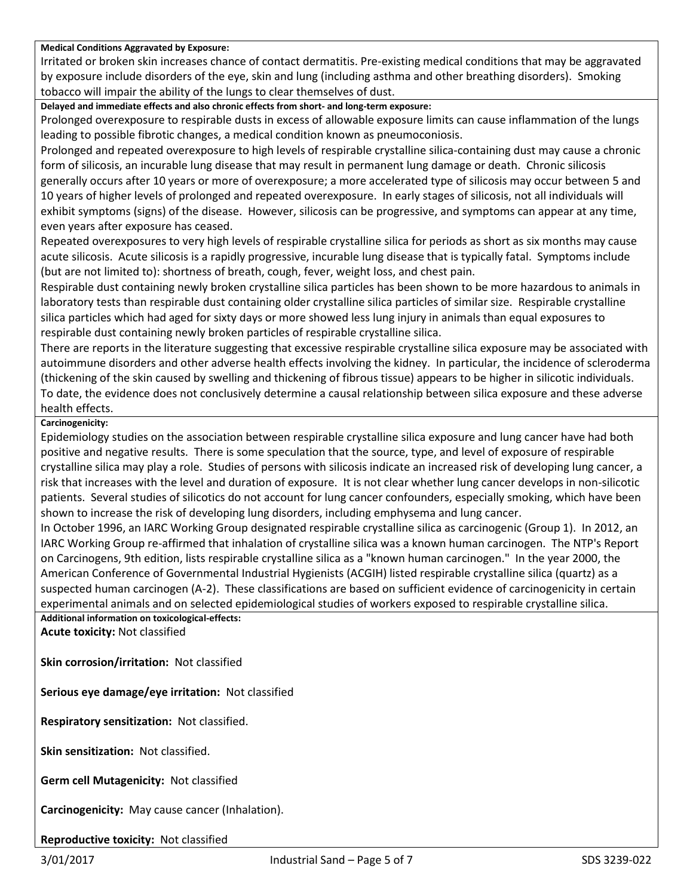#### **Medical Conditions Aggravated by Exposure:**

Irritated or broken skin increases chance of contact dermatitis. Pre-existing medical conditions that may be aggravated by exposure include disorders of the eye, skin and lung (including asthma and other breathing disorders). Smoking tobacco will impair the ability of the lungs to clear themselves of dust.

**Delayed and immediate effects and also chronic effects from short- and long-term exposure:**

Prolonged overexposure to respirable dusts in excess of allowable exposure limits can cause inflammation of the lungs leading to possible fibrotic changes, a medical condition known as pneumoconiosis.

Prolonged and repeated overexposure to high levels of respirable crystalline silica-containing dust may cause a chronic form of silicosis, an incurable lung disease that may result in permanent lung damage or death. Chronic silicosis generally occurs after 10 years or more of overexposure; a more accelerated type of silicosis may occur between 5 and 10 years of higher levels of prolonged and repeated overexposure. In early stages of silicosis, not all individuals will exhibit symptoms (signs) of the disease. However, silicosis can be progressive, and symptoms can appear at any time, even years after exposure has ceased.

Repeated overexposures to very high levels of respirable crystalline silica for periods as short as six months may cause acute silicosis. Acute silicosis is a rapidly progressive, incurable lung disease that is typically fatal. Symptoms include (but are not limited to): shortness of breath, cough, fever, weight loss, and chest pain.

Respirable dust containing newly broken crystalline silica particles has been shown to be more hazardous to animals in laboratory tests than respirable dust containing older crystalline silica particles of similar size. Respirable crystalline silica particles which had aged for sixty days or more showed less lung injury in animals than equal exposures to respirable dust containing newly broken particles of respirable crystalline silica.

There are reports in the literature suggesting that excessive respirable crystalline silica exposure may be associated with autoimmune disorders and other adverse health effects involving the kidney. In particular, the incidence of scleroderma (thickening of the skin caused by swelling and thickening of fibrous tissue) appears to be higher in silicotic individuals. To date, the evidence does not conclusively determine a causal relationship between silica exposure and these adverse health effects.

#### **Carcinogenicity:**

Epidemiology studies on the association between respirable crystalline silica exposure and lung cancer have had both positive and negative results. There is some speculation that the source, type, and level of exposure of respirable crystalline silica may play a role. Studies of persons with silicosis indicate an increased risk of developing lung cancer, a risk that increases with the level and duration of exposure. It is not clear whether lung cancer develops in non-silicotic patients. Several studies of silicotics do not account for lung cancer confounders, especially smoking, which have been shown to increase the risk of developing lung disorders, including emphysema and lung cancer.

In October 1996, an IARC Working Group designated respirable crystalline silica as carcinogenic (Group 1). In 2012, an IARC Working Group re-affirmed that inhalation of crystalline silica was a known human carcinogen. The NTP's Report on Carcinogens, 9th edition, lists respirable crystalline silica as a "known human carcinogen." In the year 2000, the American Conference of Governmental Industrial Hygienists (ACGIH) listed respirable crystalline silica (quartz) as a suspected human carcinogen (A-2). These classifications are based on sufficient evidence of carcinogenicity in certain experimental animals and on selected epidemiological studies of workers exposed to respirable crystalline silica.

**Additional information on toxicological-effects: Acute toxicity:** Not classified

**Skin corrosion/irritation:** Not classified

**Serious eye damage/eye irritation:** Not classified

**Respiratory sensitization:** Not classified.

**Skin sensitization:** Not classified.

**Germ cell Mutagenicity:** Not classified

**Carcinogenicity:** May cause cancer (Inhalation).

**Reproductive toxicity:** Not classified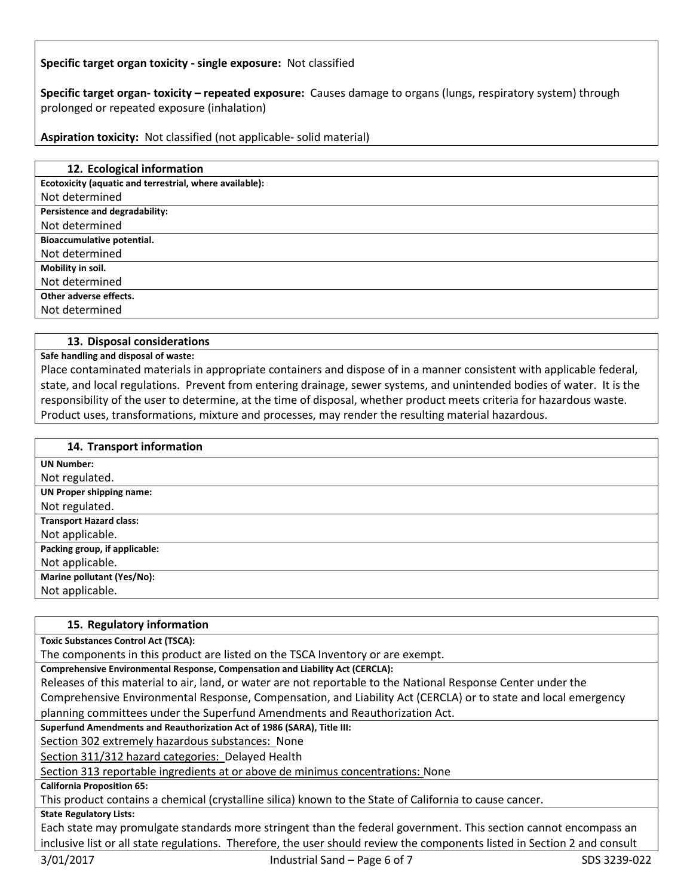## **Specific target organ toxicity - single exposure:** Not classified

**Specific target organ- toxicity – repeated exposure:** Causes damage to organs (lungs, respiratory system) through prolonged or repeated exposure (inhalation)

**Aspiration toxicity:** Not classified (not applicable- solid material)

| 12. Ecological information                              |
|---------------------------------------------------------|
| Ecotoxicity (aquatic and terrestrial, where available): |
| Not determined                                          |
| Persistence and degradability:                          |
| Not determined                                          |
| Bioaccumulative potential.                              |
| Not determined                                          |
| Mobility in soil.                                       |
| Not determined                                          |
| Other adverse effects.                                  |
| Not determined                                          |
|                                                         |

#### **13. Disposal considerations**

**Safe handling and disposal of waste:**

Place contaminated materials in appropriate containers and dispose of in a manner consistent with applicable federal, state, and local regulations. Prevent from entering drainage, sewer systems, and unintended bodies of water. It is the responsibility of the user to determine, at the time of disposal, whether product meets criteria for hazardous waste. Product uses, transformations, mixture and processes, may render the resulting material hazardous.

| 14. Transport information      |
|--------------------------------|
| <b>UN Number:</b>              |
| Not regulated.                 |
| UN Proper shipping name:       |
| Not regulated.                 |
| <b>Transport Hazard class:</b> |
| Not applicable.                |
| Packing group, if applicable:  |
| Not applicable.                |
| Marine pollutant (Yes/No):     |
| Not applicable.                |

#### **15. Regulatory information**

**Toxic Substances Control Act (TSCA):**

The components in this product are listed on the TSCA Inventory or are exempt.

**Comprehensive Environmental Response, Compensation and Liability Act (CERCLA):**

Releases of this material to air, land, or water are not reportable to the National Response Center under the Comprehensive Environmental Response, Compensation, and Liability Act (CERCLA) or to state and local emergency planning committees under the Superfund Amendments and Reauthorization Act.

**Superfund Amendments and Reauthorization Act of 1986 (SARA), Title III:**

Section 302 extremely hazardous substances: None

Section 311/312 hazard categories: Delayed Health

Section 313 reportable ingredients at or above de minimus concentrations: None

**California Proposition 65:**

This product contains a chemical (crystalline silica) known to the State of California to cause cancer.

**State Regulatory Lists:**

Each state may promulgate standards more stringent than the federal government. This section cannot encompass an inclusive list or all state regulations. Therefore, the user should review the components listed in Section 2 and consult